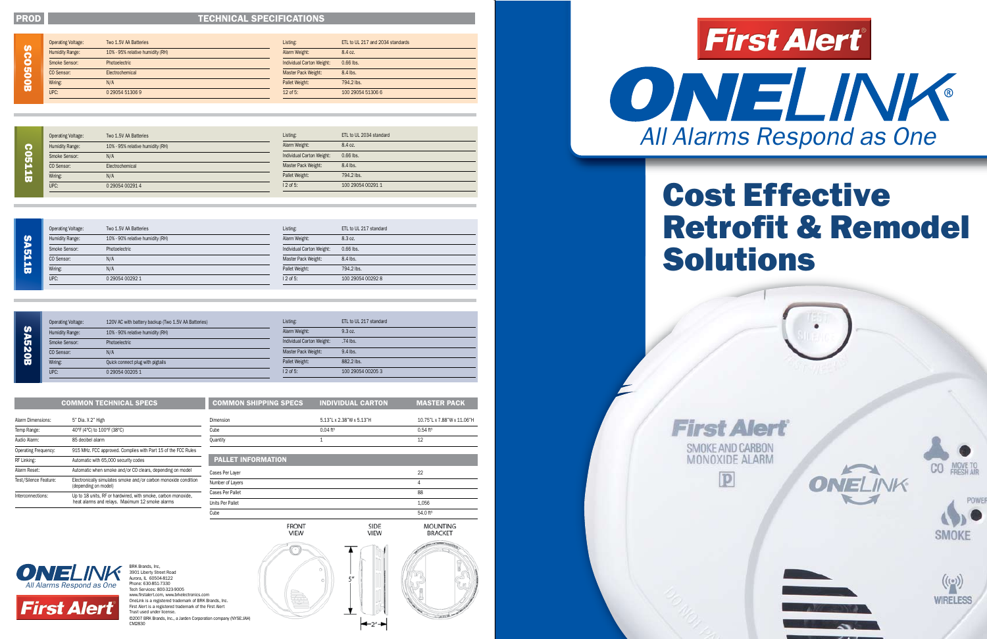**COSTI** 

#### PROD TECHNICAL SPECIFICATIONS

# Cost Effective Retrofit & Remodel Solutions



















**First Alert** 

BRK Brands, Inc, 3901 Liberty Street Road



Aurora, IL 60504-8122 Phone: 630-851-7330 Tech Services: 800-323-9005 www.firstalert.com, www.brkelectronics.com OneLink is a registered trademark of BRK Brands, Inc. First Alert is a registered trademark of the First Alert Trust used under license. ©2007 BRK Brands, Inc., a Jarden Corporation company (NYSE:JAH) CM2830

| Listing:                  | ETL to UL 217 and 2034 standards |
|---------------------------|----------------------------------|
| Alarm Weight:             | 8.4 oz.                          |
| Individual Carton Weight: | $0.66$ lbs.                      |
| Master Pack Weight:       | $8.4$ lbs.                       |
| Pallet Weight:            | 794.2 lbs.                       |
| $12$ of 5:                | 100 29054 51306 6                |

|            | <b>Operating Voltage:</b> | Two 1.5V AA Batteries            | Listing:                  | ETL to UL 217 standard |
|------------|---------------------------|----------------------------------|---------------------------|------------------------|
| S<br>D     | Humidity Range:           | 10% - 90% relative humidity (RH) | Alarm Weight:             | 8.3 oz.                |
|            | Smoke Sensor:             | Photoelectric                    | Individual Carton Weight: | $0.66$ lbs.            |
| <b>511</b> | CO Sensor:                | N/A                              | Master Pack Weight:       | 8.4 lbs.               |
| ίw         | Wiring:                   | N/A                              | Pallet Weight:            | 794.2 lbs.             |
|            | UPC:                      | 0 29054 00292 1                  | 12 of 5:                  | 100 29054 00292 8      |

| <b>Operating Voltage:</b> | 120V AC with battery backup (Two 1.5V AA Batteries) |  |
|---------------------------|-----------------------------------------------------|--|
| Humidity Range:           | 10% - 90% relative humidity (RH)                    |  |
| Smoke Sensor:             | Photoelectric                                       |  |
| CO Sensor:                | N/A                                                 |  |
| Wiring:                   | Quick connect plug with pigtails                    |  |
| UPC:                      | 0 29054 00205 1                                     |  |

| Listing:                  | ETL to UL 217 standard |
|---------------------------|------------------------|
| Alarm Weight:             | 9.3 oz.                |
| Individual Carton Weight: | .74 lbs.               |
| Master Pack Weight:       | $9.4$ lbs.             |
| Pallet Weight:            | 882.2 lbs.             |
| $12$ of 5:                | 100 29054 00205 3      |

SIDE<br>VIEW

|               | <b>Operating Voltage:</b> | Two 1.5V AA Batteries            |
|---------------|---------------------------|----------------------------------|
| n             | <b>Humidity Range:</b>    | 10% - 95% relative humidity (RH) |
|               | Smoke Sensor:             | Photoelectric                    |
|               | CO Sensor:                | Electrochemical                  |
| <b>CO500B</b> | Wiring:                   | N/A                              |
|               | UPC:                      | 0 29054 51306 9                  |

| Two 1.5V AA Batteries            |
|----------------------------------|
| 10% - 95% relative humidity (RH) |
| N/A                              |
| Electrochemical                  |
| N/A                              |
| 0 29054 00291 4                  |
| <b>Operating Voltage:</b>        |

| Listing:                  | ETL to UL 2034 standard |
|---------------------------|-------------------------|
| Alarm Weight:             | 8.4 oz.                 |
| Individual Carton Weight: | $0.66$ lbs.             |
| Master Pack Weight:       | 8.4 lbs.                |
| Pallet Weight:            | 794.2 lbs.              |
| $12$ of 5:                | 100 29054 00291 1       |
|                           |                         |

|                       | <b>COMMON TECHNICAL SPECS</b>                                                                                    |
|-----------------------|------------------------------------------------------------------------------------------------------------------|
| Alarm Dimensions:     | 5" Dia. X 2" High                                                                                                |
| Temp Range:           | 40°F (4°C) to 100°F (38°C)                                                                                       |
| Audio Alarm:          | 85 decibel alarm                                                                                                 |
| Operating Frequency:  | 915 MHz. FCC approved. Complies with Part 15 of the FCC Rules                                                    |
| RF Linking:           | Automatic with 65,000 security codes                                                                             |
| Alarm Reset:          | Automatic when smoke and/or CO clears, depending on model                                                        |
| Test/Silence Feature: | Electronically simulates smoke and/or carbon monoxide condition<br>(depending on model)                          |
| Interconnections:     | Up to 18 units, RF or hardwired, with smoke, carbon monoxide,<br>heat alarms and relays. Maximum 12 smoke alarms |

| <b>COMMON TECHNICAL SPECS</b>                                                           | <b>COMMON SHIPPING SPECS</b> | <b>INDIVIDUAL CARTON</b> | <b>MASTER PACK</b>         |
|-----------------------------------------------------------------------------------------|------------------------------|--------------------------|----------------------------|
| 5" Dia. X 2" High                                                                       | <b>Dimension</b>             | 5.13"L x 2.38"W x 5.13"H | 10.75"L x 7.88"W x 11.06"H |
| 40°F (4°C) to 100°F (38°C)                                                              | Cube                         | $0.04$ ft <sup>3</sup>   | $0.54$ ft <sup>3</sup>     |
| 85 decibel alarm                                                                        | Quantity                     |                          | 12                         |
| 915 MHz. FCC approved. Complies with Part 15 of the FCC Rules                           |                              |                          |                            |
| Automatic with 65,000 security codes                                                    | <b>PALLET INFORMATION</b>    |                          |                            |
| Automatic when smoke and/or CO clears, depending on model                               | Cases Per Layer              |                          | 22                         |
| Electronically simulates smoke and/or carbon monoxide condition<br>(depending on model) | Number of Layers             |                          | 4                          |
| Up to 18 units, RF or hardwired, with smoke, carbon monoxide,                           | Cases Per Pallet             |                          | 88                         |
| heat alarms and relays. Maximum 12 smoke alarms                                         | Units Per Pallet             | 1,056                    |                            |
|                                                                                         | Cube                         |                          | 54.0 ft <sup>3</sup>       |

**FRONT** 

VIEW